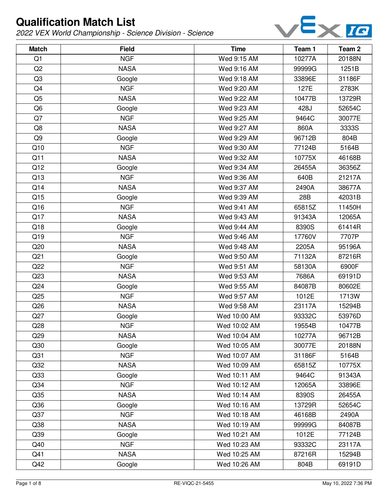

| <b>Match</b>    | <b>Field</b> | <b>Time</b>  | Team 1 | Team <sub>2</sub> |
|-----------------|--------------|--------------|--------|-------------------|
| Q1              | <b>NGF</b>   | Wed 9:15 AM  | 10277A | 20188N            |
| Q2              | <b>NASA</b>  | Wed 9:16 AM  | 99999G | 1251B             |
| Q <sub>3</sub>  | Google       | Wed 9:18 AM  | 33896E | 31186F            |
| Q4              | <b>NGF</b>   | Wed 9:20 AM  | 127E   | 2783K             |
| Q <sub>5</sub>  | <b>NASA</b>  | Wed 9:22 AM  | 10477B | 13729R            |
| Q <sub>6</sub>  | Google       | Wed 9:23 AM  | 428J   | 52654C            |
| Q7              | <b>NGF</b>   | Wed 9:25 AM  | 9464C  | 30077E            |
| Q8              | <b>NASA</b>  | Wed 9:27 AM  | 860A   | 3333S             |
| Q <sub>9</sub>  | Google       | Wed 9:29 AM  | 96712B | 804B              |
| Q10             | <b>NGF</b>   | Wed 9:30 AM  | 77124B | 5164B             |
| Q11             | <b>NASA</b>  | Wed 9:32 AM  | 10775X | 46168B            |
| Q12             | Google       | Wed 9:34 AM  | 26455A | 36356Z            |
| Q13             | <b>NGF</b>   | Wed 9:36 AM  | 640B   | 21217A            |
| Q14             | <b>NASA</b>  | Wed 9:37 AM  | 2490A  | 38677A            |
| Q15             | Google       | Wed 9:39 AM  | 28B    | 42031B            |
| Q16             | <b>NGF</b>   | Wed 9:41 AM  | 65815Z | 11450H            |
| Q17             | <b>NASA</b>  | Wed 9:43 AM  | 91343A | 12065A            |
| Q18             | Google       | Wed 9:44 AM  | 8390S  | 61414R            |
| Q19             | <b>NGF</b>   | Wed 9:46 AM  | 17760V | 7707P             |
| Q20             | <b>NASA</b>  | Wed 9:48 AM  | 2205A  | 95196A            |
| Q <sub>21</sub> | Google       | Wed 9:50 AM  | 71132A | 87216R            |
| Q22             | <b>NGF</b>   | Wed 9:51 AM  | 58130A | 6900F             |
| Q23             | <b>NASA</b>  | Wed 9:53 AM  | 7686A  | 69191D            |
| Q <sub>24</sub> | Google       | Wed 9:55 AM  | 84087B | 80602E            |
| Q25             | <b>NGF</b>   | Wed 9:57 AM  | 1012E  | 1713W             |
| Q26             | <b>NASA</b>  | Wed 9:58 AM  | 23117A | 15294B            |
| Q27             | Google       | Wed 10:00 AM | 93332C | 53976D            |
| Q28             | <b>NGF</b>   | Wed 10:02 AM | 19554B | 10477B            |
| Q <sub>29</sub> | <b>NASA</b>  | Wed 10:04 AM | 10277A | 96712B            |
| Q30             | Google       | Wed 10:05 AM | 30077E | 20188N            |
| Q <sub>31</sub> | <b>NGF</b>   | Wed 10:07 AM | 31186F | 5164B             |
| Q <sub>32</sub> | <b>NASA</b>  | Wed 10:09 AM | 65815Z | 10775X            |
| Q33             | Google       | Wed 10:11 AM | 9464C  | 91343A            |
| Q <sub>34</sub> | <b>NGF</b>   | Wed 10:12 AM | 12065A | 33896E            |
| Q <sub>35</sub> | <b>NASA</b>  | Wed 10:14 AM | 8390S  | 26455A            |
| Q36             | Google       | Wed 10:16 AM | 13729R | 52654C            |
| Q <sub>37</sub> | <b>NGF</b>   | Wed 10:18 AM | 46168B | 2490A             |
| Q38             | <b>NASA</b>  | Wed 10:19 AM | 99999G | 84087B            |
| Q39             | Google       | Wed 10:21 AM | 1012E  | 77124B            |
| Q40             | <b>NGF</b>   | Wed 10:23 AM | 93332C | 23117A            |
| Q41             | <b>NASA</b>  | Wed 10:25 AM | 87216R | 15294B            |
| Q42             | Google       | Wed 10:26 AM | 804B   | 69191D            |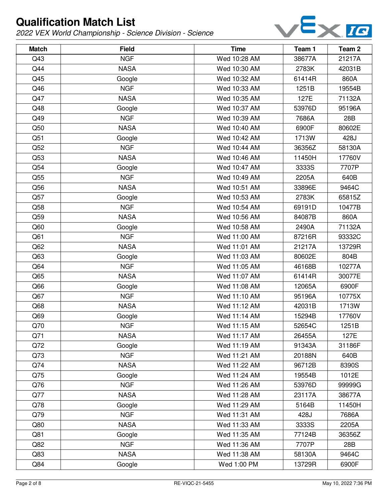

| <b>Match</b> | <b>Field</b> | <b>Time</b>  | Team 1 | Team <sub>2</sub> |
|--------------|--------------|--------------|--------|-------------------|
| Q43          | <b>NGF</b>   | Wed 10:28 AM | 38677A | 21217A            |
| Q44          | <b>NASA</b>  | Wed 10:30 AM | 2783K  | 42031B            |
| Q45          | Google       | Wed 10:32 AM | 61414R | 860A              |
| Q46          | <b>NGF</b>   | Wed 10:33 AM | 1251B  | 19554B            |
| Q47          | <b>NASA</b>  | Wed 10:35 AM | 127E   | 71132A            |
| Q48          | Google       | Wed 10:37 AM | 53976D | 95196A            |
| Q49          | <b>NGF</b>   | Wed 10:39 AM | 7686A  | 28B               |
| Q50          | <b>NASA</b>  | Wed 10:40 AM | 6900F  | 80602E            |
| Q51          | Google       | Wed 10:42 AM | 1713W  | 428J              |
| Q52          | <b>NGF</b>   | Wed 10:44 AM | 36356Z | 58130A            |
| Q53          | <b>NASA</b>  | Wed 10:46 AM | 11450H | 17760V            |
| Q54          | Google       | Wed 10:47 AM | 3333S  | 7707P             |
| Q55          | <b>NGF</b>   | Wed 10:49 AM | 2205A  | 640B              |
| Q56          | <b>NASA</b>  | Wed 10:51 AM | 33896E | 9464C             |
| Q57          | Google       | Wed 10:53 AM | 2783K  | 65815Z            |
| Q58          | <b>NGF</b>   | Wed 10:54 AM | 69191D | 10477B            |
| Q59          | <b>NASA</b>  | Wed 10:56 AM | 84087B | 860A              |
| Q60          | Google       | Wed 10:58 AM | 2490A  | 71132A            |
| Q61          | <b>NGF</b>   | Wed 11:00 AM | 87216R | 93332C            |
| Q62          | <b>NASA</b>  | Wed 11:01 AM | 21217A | 13729R            |
| Q63          | Google       | Wed 11:03 AM | 80602E | 804B              |
| Q64          | <b>NGF</b>   | Wed 11:05 AM | 46168B | 10277A            |
| Q65          | <b>NASA</b>  | Wed 11:07 AM | 61414R | 30077E            |
| Q66          | Google       | Wed 11:08 AM | 12065A | 6900F             |
| Q67          | <b>NGF</b>   | Wed 11:10 AM | 95196A | 10775X            |
| Q68          | <b>NASA</b>  | Wed 11:12 AM | 42031B | 1713W             |
| Q69          | Google       | Wed 11:14 AM | 15294B | 17760V            |
| Q70          | <b>NGF</b>   | Wed 11:15 AM | 52654C | 1251B             |
| Q71          | <b>NASA</b>  | Wed 11:17 AM | 26455A | 127E              |
| Q72          | Google       | Wed 11:19 AM | 91343A | 31186F            |
| Q73          | <b>NGF</b>   | Wed 11:21 AM | 20188N | 640B              |
| Q74          | <b>NASA</b>  | Wed 11:22 AM | 96712B | 8390S             |
| Q75          | Google       | Wed 11:24 AM | 19554B | 1012E             |
| Q76          | <b>NGF</b>   | Wed 11:26 AM | 53976D | 99999G            |
| Q77          | <b>NASA</b>  | Wed 11:28 AM | 23117A | 38677A            |
| Q78          | Google       | Wed 11:29 AM | 5164B  | 11450H            |
| Q79          | <b>NGF</b>   | Wed 11:31 AM | 428J   | 7686A             |
| Q80          | <b>NASA</b>  | Wed 11:33 AM | 3333S  | 2205A             |
| Q81          | Google       | Wed 11:35 AM | 77124B | 36356Z            |
| Q82          | <b>NGF</b>   | Wed 11:36 AM | 7707P  | 28B               |
| Q83          | <b>NASA</b>  | Wed 11:38 AM | 58130A | 9464C             |
| Q84          | Google       | Wed 1:00 PM  | 13729R | 6900F             |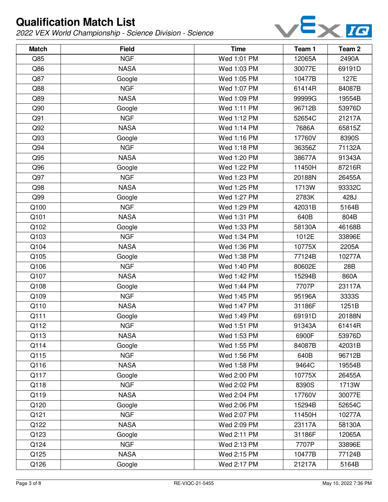

| <b>Match</b> | <b>Field</b> | <b>Time</b> | Team 1 | Team <sub>2</sub> |
|--------------|--------------|-------------|--------|-------------------|
| Q85          | <b>NGF</b>   | Wed 1:01 PM | 12065A | 2490A             |
| Q86          | <b>NASA</b>  | Wed 1:03 PM | 30077E | 69191D            |
| Q87          | Google       | Wed 1:05 PM | 10477B | 127E              |
| Q88          | <b>NGF</b>   | Wed 1:07 PM | 61414R | 84087B            |
| Q89          | <b>NASA</b>  | Wed 1:09 PM | 99999G | 19554B            |
| Q90          | Google       | Wed 1:11 PM | 96712B | 53976D            |
| Q91          | <b>NGF</b>   | Wed 1:12 PM | 52654C | 21217A            |
| Q92          | <b>NASA</b>  | Wed 1:14 PM | 7686A  | 65815Z            |
| Q93          | Google       | Wed 1:16 PM | 17760V | 8390S             |
| Q94          | <b>NGF</b>   | Wed 1:18 PM | 36356Z | 71132A            |
| Q95          | <b>NASA</b>  | Wed 1:20 PM | 38677A | 91343A            |
| Q96          | Google       | Wed 1:22 PM | 11450H | 87216R            |
| Q97          | <b>NGF</b>   | Wed 1:23 PM | 20188N | 26455A            |
| Q98          | <b>NASA</b>  | Wed 1:25 PM | 1713W  | 93332C            |
| Q99          | Google       | Wed 1:27 PM | 2783K  | 428J              |
| Q100         | <b>NGF</b>   | Wed 1:29 PM | 42031B | 5164B             |
| Q101         | <b>NASA</b>  | Wed 1:31 PM | 640B   | 804B              |
| Q102         | Google       | Wed 1:33 PM | 58130A | 46168B            |
| Q103         | <b>NGF</b>   | Wed 1:34 PM | 1012E  | 33896E            |
| Q104         | <b>NASA</b>  | Wed 1:36 PM | 10775X | 2205A             |
| Q105         | Google       | Wed 1:38 PM | 77124B | 10277A            |
| Q106         | <b>NGF</b>   | Wed 1:40 PM | 80602E | 28B               |
| Q107         | <b>NASA</b>  | Wed 1:42 PM | 15294B | 860A              |
| Q108         | Google       | Wed 1:44 PM | 7707P  | 23117A            |
| Q109         | <b>NGF</b>   | Wed 1:45 PM | 95196A | 3333S             |
| Q110         | <b>NASA</b>  | Wed 1:47 PM | 31186F | 1251B             |
| Q111         | Google       | Wed 1:49 PM | 69191D | 20188N            |
| Q112         | <b>NGF</b>   | Wed 1:51 PM | 91343A | 61414R            |
| Q113         | <b>NASA</b>  | Wed 1:53 PM | 6900F  | 53976D            |
| Q114         | Google       | Wed 1:55 PM | 84087B | 42031B            |
| Q115         | <b>NGF</b>   | Wed 1:56 PM | 640B   | 96712B            |
| Q116         | <b>NASA</b>  | Wed 1:58 PM | 9464C  | 19554B            |
| Q117         | Google       | Wed 2:00 PM | 10775X | 26455A            |
| Q118         | <b>NGF</b>   | Wed 2:02 PM | 8390S  | 1713W             |
| Q119         | <b>NASA</b>  | Wed 2:04 PM | 17760V | 30077E            |
| Q120         | Google       | Wed 2:06 PM | 15294B | 52654C            |
| Q121         | <b>NGF</b>   | Wed 2:07 PM | 11450H | 10277A            |
| Q122         | <b>NASA</b>  | Wed 2:09 PM | 23117A | 58130A            |
| Q123         | Google       | Wed 2:11 PM | 31186F | 12065A            |
| Q124         | <b>NGF</b>   | Wed 2:13 PM | 7707P  | 33896E            |
| Q125         | <b>NASA</b>  | Wed 2:15 PM | 10477B | 77124B            |
| Q126         | Google       | Wed 2:17 PM | 21217A | 5164B             |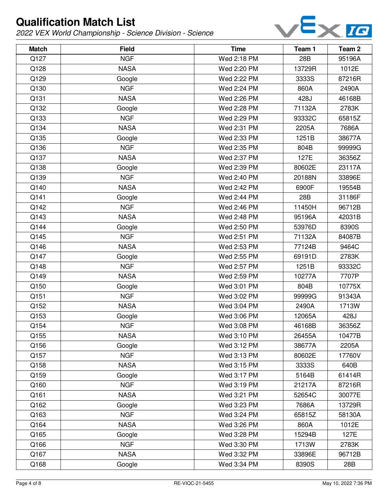

| <b>Match</b> | <b>Field</b> | <b>Time</b> | Team 1 | Team 2 |
|--------------|--------------|-------------|--------|--------|
| Q127         | <b>NGF</b>   | Wed 2:18 PM | 28B    | 95196A |
| Q128         | <b>NASA</b>  | Wed 2:20 PM | 13729R | 1012E  |
| Q129         | Google       | Wed 2:22 PM | 3333S  | 87216R |
| Q130         | <b>NGF</b>   | Wed 2:24 PM | 860A   | 2490A  |
| Q131         | <b>NASA</b>  | Wed 2:26 PM | 428J   | 46168B |
| Q132         | Google       | Wed 2:28 PM | 71132A | 2783K  |
| Q133         | <b>NGF</b>   | Wed 2:29 PM | 93332C | 65815Z |
| Q134         | <b>NASA</b>  | Wed 2:31 PM | 2205A  | 7686A  |
| Q135         | Google       | Wed 2:33 PM | 1251B  | 38677A |
| Q136         | <b>NGF</b>   | Wed 2:35 PM | 804B   | 99999G |
| Q137         | <b>NASA</b>  | Wed 2:37 PM | 127E   | 36356Z |
| Q138         | Google       | Wed 2:39 PM | 80602E | 23117A |
| Q139         | <b>NGF</b>   | Wed 2:40 PM | 20188N | 33896E |
| Q140         | <b>NASA</b>  | Wed 2:42 PM | 6900F  | 19554B |
| Q141         | Google       | Wed 2:44 PM | 28B    | 31186F |
| Q142         | <b>NGF</b>   | Wed 2:46 PM | 11450H | 96712B |
| Q143         | <b>NASA</b>  | Wed 2:48 PM | 95196A | 42031B |
| Q144         | Google       | Wed 2:50 PM | 53976D | 8390S  |
| Q145         | <b>NGF</b>   | Wed 2:51 PM | 71132A | 84087B |
| Q146         | <b>NASA</b>  | Wed 2:53 PM | 77124B | 9464C  |
| Q147         | Google       | Wed 2:55 PM | 69191D | 2783K  |
| Q148         | <b>NGF</b>   | Wed 2:57 PM | 1251B  | 93332C |
| Q149         | <b>NASA</b>  | Wed 2:59 PM | 10277A | 7707P  |
| Q150         | Google       | Wed 3:01 PM | 804B   | 10775X |
| Q151         | <b>NGF</b>   | Wed 3:02 PM | 99999G | 91343A |
| Q152         | <b>NASA</b>  | Wed 3:04 PM | 2490A  | 1713W  |
| Q153         | Google       | Wed 3:06 PM | 12065A | 428J   |
| Q154         | <b>NGF</b>   | Wed 3:08 PM | 46168B | 36356Z |
| Q155         | <b>NASA</b>  | Wed 3:10 PM | 26455A | 10477B |
| Q156         | Google       | Wed 3:12 PM | 38677A | 2205A  |
| Q157         | <b>NGF</b>   | Wed 3:13 PM | 80602E | 17760V |
| Q158         | <b>NASA</b>  | Wed 3:15 PM | 3333S  | 640B   |
| Q159         | Google       | Wed 3:17 PM | 5164B  | 61414R |
| Q160         | <b>NGF</b>   | Wed 3:19 PM | 21217A | 87216R |
| Q161         | <b>NASA</b>  | Wed 3:21 PM | 52654C | 30077E |
| Q162         | Google       | Wed 3:23 PM | 7686A  | 13729R |
| Q163         | <b>NGF</b>   | Wed 3:24 PM | 65815Z | 58130A |
| Q164         | <b>NASA</b>  | Wed 3:26 PM | 860A   | 1012E  |
| Q165         | Google       | Wed 3:28 PM | 15294B | 127E   |
| Q166         | <b>NGF</b>   | Wed 3:30 PM | 1713W  | 2783K  |
| Q167         | <b>NASA</b>  | Wed 3:32 PM | 33896E | 96712B |
| Q168         | Google       | Wed 3:34 PM | 8390S  | 28B    |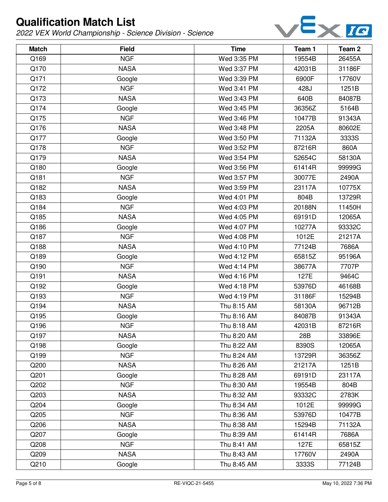

| <b>Match</b> | <b>Field</b> | <b>Time</b> | Team 1 | Team <sub>2</sub> |
|--------------|--------------|-------------|--------|-------------------|
| Q169         | <b>NGF</b>   | Wed 3:35 PM | 19554B | 26455A            |
| Q170         | <b>NASA</b>  | Wed 3:37 PM | 42031B | 31186F            |
| Q171         | Google       | Wed 3:39 PM | 6900F  | 17760V            |
| Q172         | <b>NGF</b>   | Wed 3:41 PM | 428J   | 1251B             |
| Q173         | <b>NASA</b>  | Wed 3:43 PM | 640B   | 84087B            |
| Q174         | Google       | Wed 3:45 PM | 36356Z | 5164B             |
| Q175         | <b>NGF</b>   | Wed 3:46 PM | 10477B | 91343A            |
| Q176         | <b>NASA</b>  | Wed 3:48 PM | 2205A  | 80602E            |
| Q177         | Google       | Wed 3:50 PM | 71132A | 3333S             |
| Q178         | <b>NGF</b>   | Wed 3:52 PM | 87216R | 860A              |
| Q179         | <b>NASA</b>  | Wed 3:54 PM | 52654C | 58130A            |
| Q180         | Google       | Wed 3:56 PM | 61414R | 99999G            |
| Q181         | <b>NGF</b>   | Wed 3:57 PM | 30077E | 2490A             |
| Q182         | <b>NASA</b>  | Wed 3:59 PM | 23117A | 10775X            |
| Q183         | Google       | Wed 4:01 PM | 804B   | 13729R            |
| Q184         | <b>NGF</b>   | Wed 4:03 PM | 20188N | 11450H            |
| Q185         | <b>NASA</b>  | Wed 4:05 PM | 69191D | 12065A            |
| Q186         | Google       | Wed 4:07 PM | 10277A | 93332C            |
| Q187         | <b>NGF</b>   | Wed 4:08 PM | 1012E  | 21217A            |
| Q188         | <b>NASA</b>  | Wed 4:10 PM | 77124B | 7686A             |
| Q189         | Google       | Wed 4:12 PM | 65815Z | 95196A            |
| Q190         | <b>NGF</b>   | Wed 4:14 PM | 38677A | 7707P             |
| Q191         | <b>NASA</b>  | Wed 4:16 PM | 127E   | 9464C             |
| Q192         | Google       | Wed 4:18 PM | 53976D | 46168B            |
| Q193         | <b>NGF</b>   | Wed 4:19 PM | 31186F | 15294B            |
| Q194         | <b>NASA</b>  | Thu 8:15 AM | 58130A | 96712B            |
| Q195         | Google       | Thu 8:16 AM | 84087B | 91343A            |
| Q196         | <b>NGF</b>   | Thu 8:18 AM | 42031B | 87216R            |
| Q197         | <b>NASA</b>  | Thu 8:20 AM | 28B    | 33896E            |
| Q198         | Google       | Thu 8:22 AM | 8390S  | 12065A            |
| Q199         | <b>NGF</b>   | Thu 8:24 AM | 13729R | 36356Z            |
| Q200         | <b>NASA</b>  | Thu 8:26 AM | 21217A | 1251B             |
| Q201         | Google       | Thu 8:28 AM | 69191D | 23117A            |
| Q202         | <b>NGF</b>   | Thu 8:30 AM | 19554B | 804B              |
| Q203         | <b>NASA</b>  | Thu 8:32 AM | 93332C | 2783K             |
| Q204         | Google       | Thu 8:34 AM | 1012E  | 99999G            |
| Q205         | <b>NGF</b>   | Thu 8:36 AM | 53976D | 10477B            |
| Q206         | <b>NASA</b>  | Thu 8:38 AM | 15294B | 71132A            |
| Q207         | Google       | Thu 8:39 AM | 61414R | 7686A             |
| Q208         | <b>NGF</b>   | Thu 8:41 AM | 127E   | 65815Z            |
| Q209         | <b>NASA</b>  | Thu 8:43 AM | 17760V | 2490A             |
| Q210         | Google       | Thu 8:45 AM | 3333S  | 77124B            |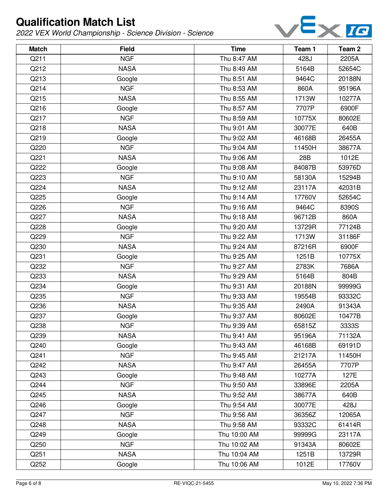

| <b>Match</b> | <b>Field</b> | <b>Time</b>  | Team 1 | Team 2 |
|--------------|--------------|--------------|--------|--------|
| Q211         | <b>NGF</b>   | Thu 8:47 AM  | 428J   | 2205A  |
| Q212         | <b>NASA</b>  | Thu 8:49 AM  | 5164B  | 52654C |
| Q213         | Google       | Thu 8:51 AM  | 9464C  | 20188N |
| Q214         | <b>NGF</b>   | Thu 8:53 AM  | 860A   | 95196A |
| Q215         | <b>NASA</b>  | Thu 8:55 AM  | 1713W  | 10277A |
| Q216         | Google       | Thu 8:57 AM  | 7707P  | 6900F  |
| Q217         | <b>NGF</b>   | Thu 8:59 AM  | 10775X | 80602E |
| Q218         | <b>NASA</b>  | Thu 9:01 AM  | 30077E | 640B   |
| Q219         | Google       | Thu 9:02 AM  | 46168B | 26455A |
| Q220         | <b>NGF</b>   | Thu 9:04 AM  | 11450H | 38677A |
| Q221         | <b>NASA</b>  | Thu 9:06 AM  | 28B    | 1012E  |
| Q222         | Google       | Thu 9:08 AM  | 84087B | 53976D |
| Q223         | <b>NGF</b>   | Thu 9:10 AM  | 58130A | 15294B |
| Q224         | <b>NASA</b>  | Thu 9:12 AM  | 23117A | 42031B |
| Q225         | Google       | Thu 9:14 AM  | 17760V | 52654C |
| Q226         | <b>NGF</b>   | Thu 9:16 AM  | 9464C  | 8390S  |
| Q227         | <b>NASA</b>  | Thu 9:18 AM  | 96712B | 860A   |
| Q228         | Google       | Thu 9:20 AM  | 13729R | 77124B |
| Q229         | <b>NGF</b>   | Thu 9:22 AM  | 1713W  | 31186F |
| Q230         | <b>NASA</b>  | Thu 9:24 AM  | 87216R | 6900F  |
| Q231         | Google       | Thu 9:25 AM  | 1251B  | 10775X |
| Q232         | <b>NGF</b>   | Thu 9:27 AM  | 2783K  | 7686A  |
| Q233         | <b>NASA</b>  | Thu 9:29 AM  | 5164B  | 804B   |
| Q234         | Google       | Thu 9:31 AM  | 20188N | 99999G |
| Q235         | <b>NGF</b>   | Thu 9:33 AM  | 19554B | 93332C |
| Q236         | <b>NASA</b>  | Thu 9:35 AM  | 2490A  | 91343A |
| Q237         | Google       | Thu 9:37 AM  | 80602E | 10477B |
| Q238         | <b>NGF</b>   | Thu 9:39 AM  | 65815Z | 3333S  |
| Q239         | <b>NASA</b>  | Thu 9:41 AM  | 95196A | 71132A |
| Q240         | Google       | Thu 9:43 AM  | 46168B | 69191D |
| Q241         | <b>NGF</b>   | Thu 9:45 AM  | 21217A | 11450H |
| Q242         | <b>NASA</b>  | Thu 9:47 AM  | 26455A | 7707P  |
| Q243         | Google       | Thu 9:48 AM  | 10277A | 127E   |
| Q244         | <b>NGF</b>   | Thu 9:50 AM  | 33896E | 2205A  |
| Q245         | <b>NASA</b>  | Thu 9:52 AM  | 38677A | 640B   |
| Q246         | Google       | Thu 9:54 AM  | 30077E | 428J   |
| Q247         | <b>NGF</b>   | Thu 9:56 AM  | 36356Z | 12065A |
| Q248         | <b>NASA</b>  | Thu 9:58 AM  | 93332C | 61414R |
| Q249         | Google       | Thu 10:00 AM | 99999G | 23117A |
| Q250         | <b>NGF</b>   | Thu 10:02 AM | 91343A | 80602E |
| Q251         | <b>NASA</b>  | Thu 10:04 AM | 1251B  | 13729R |
| Q252         | Google       | Thu 10:06 AM | 1012E  | 17760V |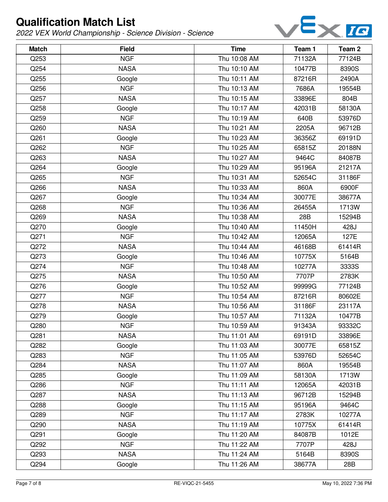

| <b>Match</b> | <b>Field</b> | <b>Time</b>  | Team 1 | Team 2 |
|--------------|--------------|--------------|--------|--------|
| Q253         | <b>NGF</b>   | Thu 10:08 AM | 71132A | 77124B |
| Q254         | <b>NASA</b>  | Thu 10:10 AM | 10477B | 8390S  |
| Q255         | Google       | Thu 10:11 AM | 87216R | 2490A  |
| Q256         | <b>NGF</b>   | Thu 10:13 AM | 7686A  | 19554B |
| Q257         | <b>NASA</b>  | Thu 10:15 AM | 33896E | 804B   |
| Q258         | Google       | Thu 10:17 AM | 42031B | 58130A |
| Q259         | <b>NGF</b>   | Thu 10:19 AM | 640B   | 53976D |
| Q260         | <b>NASA</b>  | Thu 10:21 AM | 2205A  | 96712B |
| Q261         | Google       | Thu 10:23 AM | 36356Z | 69191D |
| Q262         | <b>NGF</b>   | Thu 10:25 AM | 65815Z | 20188N |
| Q263         | <b>NASA</b>  | Thu 10:27 AM | 9464C  | 84087B |
| Q264         | Google       | Thu 10:29 AM | 95196A | 21217A |
| Q265         | <b>NGF</b>   | Thu 10:31 AM | 52654C | 31186F |
| Q266         | <b>NASA</b>  | Thu 10:33 AM | 860A   | 6900F  |
| Q267         | Google       | Thu 10:34 AM | 30077E | 38677A |
| Q268         | <b>NGF</b>   | Thu 10:36 AM | 26455A | 1713W  |
| Q269         | <b>NASA</b>  | Thu 10:38 AM | 28B    | 15294B |
| Q270         | Google       | Thu 10:40 AM | 11450H | 428J   |
| Q271         | <b>NGF</b>   | Thu 10:42 AM | 12065A | 127E   |
| Q272         | <b>NASA</b>  | Thu 10:44 AM | 46168B | 61414R |
| Q273         | Google       | Thu 10:46 AM | 10775X | 5164B  |
| Q274         | <b>NGF</b>   | Thu 10:48 AM | 10277A | 3333S  |
| Q275         | <b>NASA</b>  | Thu 10:50 AM | 7707P  | 2783K  |
| Q276         | Google       | Thu 10:52 AM | 99999G | 77124B |
| Q277         | <b>NGF</b>   | Thu 10:54 AM | 87216R | 80602E |
| Q278         | <b>NASA</b>  | Thu 10:56 AM | 31186F | 23117A |
| Q279         | Google       | Thu 10:57 AM | 71132A | 10477B |
| Q280         | <b>NGF</b>   | Thu 10:59 AM | 91343A | 93332C |
| Q281         | <b>NASA</b>  | Thu 11:01 AM | 69191D | 33896E |
| Q282         | Google       | Thu 11:03 AM | 30077E | 65815Z |
| Q283         | <b>NGF</b>   | Thu 11:05 AM | 53976D | 52654C |
| Q284         | <b>NASA</b>  | Thu 11:07 AM | 860A   | 19554B |
| Q285         | Google       | Thu 11:09 AM | 58130A | 1713W  |
| Q286         | <b>NGF</b>   | Thu 11:11 AM | 12065A | 42031B |
| Q287         | <b>NASA</b>  | Thu 11:13 AM | 96712B | 15294B |
| Q288         | Google       | Thu 11:15 AM | 95196A | 9464C  |
| Q289         | <b>NGF</b>   | Thu 11:17 AM | 2783K  | 10277A |
| Q290         | <b>NASA</b>  | Thu 11:19 AM | 10775X | 61414R |
| Q291         | Google       | Thu 11:20 AM | 84087B | 1012E  |
| Q292         | <b>NGF</b>   | Thu 11:22 AM | 7707P  | 428J   |
| Q293         | <b>NASA</b>  | Thu 11:24 AM | 5164B  | 8390S  |
| Q294         | Google       | Thu 11:26 AM | 38677A | 28B    |